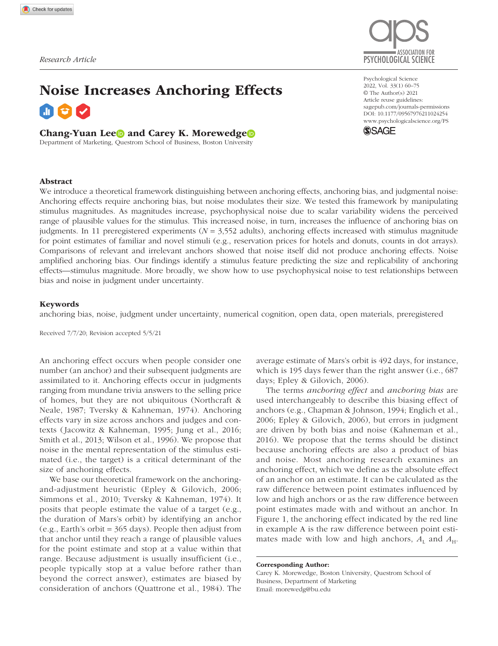

# Noise Increases Anchoring Effects

#### Chang-Yuan Lee and Carey K. Morewedge

Department of Marketing, Questrom School of Business, Boston University

https://doi.org/10.1177/09567976211024254 DOI: 10.1177/09567976211024254 Psychological Science 2022, Vol. 33(1) 60–75 © The Author(s) 2021 Article reuse guidelines: [sagepub.com/journals-permissions](https://us.sagepub.com/en-us/journals-permissions) [www.psychologicalscience.org/PS](http://www.psychologicalscience.org/ps)



#### Abstract

We introduce a theoretical framework distinguishing between anchoring effects, anchoring bias, and judgmental noise: Anchoring effects require anchoring bias, but noise modulates their size. We tested this framework by manipulating stimulus magnitudes. As magnitudes increase, psychophysical noise due to scalar variability widens the perceived range of plausible values for the stimulus. This increased noise, in turn, increases the influence of anchoring bias on judgments. In 11 preregistered experiments ( $N = 3,552$  adults), anchoring effects increased with stimulus magnitude for point estimates of familiar and novel stimuli (e.g., reservation prices for hotels and donuts, counts in dot arrays). Comparisons of relevant and irrelevant anchors showed that noise itself did not produce anchoring effects. Noise amplified anchoring bias. Our findings identify a stimulus feature predicting the size and replicability of anchoring effects—stimulus magnitude. More broadly, we show how to use psychophysical noise to test relationships between bias and noise in judgment under uncertainty.

#### Keywords

anchoring bias, noise, judgment under uncertainty, numerical cognition, open data, open materials, preregistered

Received 7/7/20; Revision accepted 5/5/21

An anchoring effect occurs when people consider one number (an anchor) and their subsequent judgments are assimilated to it. Anchoring effects occur in judgments ranging from mundane trivia answers to the selling price of homes, but they are not ubiquitous (Northcraft & Neale, 1987; Tversky & Kahneman, 1974). Anchoring effects vary in size across anchors and judges and contexts (Jacowitz & Kahneman, 1995; Jung et al., 2016; Smith et al., 2013; Wilson et al., 1996). We propose that noise in the mental representation of the stimulus estimated (i.e., the target) is a critical determinant of the size of anchoring effects.

We base our theoretical framework on the anchoringand-adjustment heuristic (Epley & Gilovich, 2006; Simmons et al., 2010; Tversky & Kahneman, 1974). It posits that people estimate the value of a target (e.g., the duration of Mars's orbit) by identifying an anchor (e.g., Earth's orbit = 365 days). People then adjust from that anchor until they reach a range of plausible values for the point estimate and stop at a value within that range. Because adjustment is usually insufficient (i.e., people typically stop at a value before rather than beyond the correct answer), estimates are biased by consideration of anchors (Quattrone et al., 1984). The

average estimate of Mars's orbit is 492 days, for instance, which is 195 days fewer than the right answer (i.e., 687 days; Epley & Gilovich, 2006).

The terms *anchoring effect* and *anchoring bias* are used interchangeably to describe this biasing effect of anchors (e.g., Chapman & Johnson, 1994; Englich et al., 2006; Epley & Gilovich, 2006), but errors in judgment are driven by both bias and noise (Kahneman et al., 2016). We propose that the terms should be distinct because anchoring effects are also a product of bias and noise. Most anchoring research examines an anchoring effect, which we define as the absolute effect of an anchor on an estimate. It can be calculated as the raw difference between point estimates influenced by low and high anchors or as the raw difference between point estimates made with and without an anchor. In Figure 1, the anchoring effect indicated by the red line in example A is the raw difference between point estimates made with low and high anchors,  $A_L$  and  $A_H$ .

Corresponding Author:

Carey K. Morewedge, Boston University, Questrom School of Business, Department of Marketing Email: [morewedg@bu.edu](mailto:morewedg@bu.edu)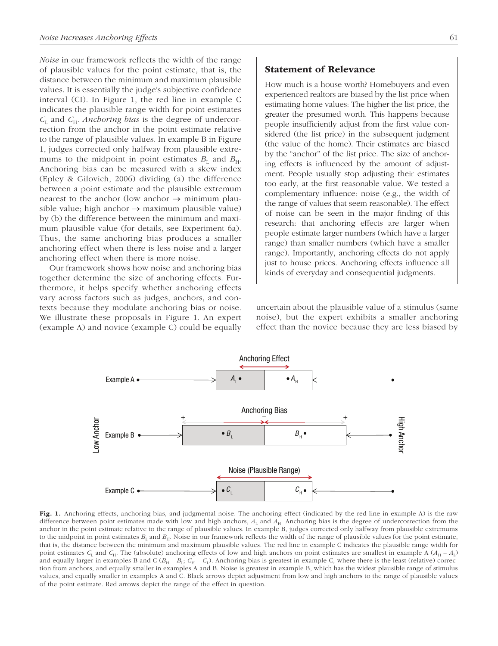*Noise* in our framework reflects the width of the range of plausible values for the point estimate, that is, the distance between the minimum and maximum plausible values. It is essentially the judge's subjective confidence interval (CI). In Figure 1, the red line in example C indicates the plausible range width for point estimates *C*L and *C*H. *Anchoring bias* is the degree of undercorrection from the anchor in the point estimate relative to the range of plausible values. In example B in Figure 1, judges corrected only halfway from plausible extremums to the midpoint in point estimates  $B_L$  and  $B_H$ . Anchoring bias can be measured with a skew index (Epley & Gilovich, 2006) dividing (a) the difference between a point estimate and the plausible extremum nearest to the anchor (low anchor  $\rightarrow$  minimum plausible value; high anchor  $\rightarrow$  maximum plausible value) by (b) the difference between the minimum and maximum plausible value (for details, see Experiment 6a). Thus, the same anchoring bias produces a smaller anchoring effect when there is less noise and a larger anchoring effect when there is more noise.

Our framework shows how noise and anchoring bias together determine the size of anchoring effects. Furthermore, it helps specify whether anchoring effects vary across factors such as judges, anchors, and contexts because they modulate anchoring bias or noise. We illustrate these proposals in Figure 1. An expert (example A) and novice (example C) could be equally

How much is a house worth? Homebuyers and even experienced realtors are biased by the list price when estimating home values: The higher the list price, the greater the presumed worth. This happens because people insufficiently adjust from the first value considered (the list price) in the subsequent judgment (the value of the home). Their estimates are biased by the "anchor" of the list price. The size of anchoring effects is influenced by the amount of adjustment. People usually stop adjusting their estimates too early, at the first reasonable value. We tested a complementary influence: noise (e.g., the width of the range of values that seem reasonable). The effect of noise can be seen in the major finding of this research: that anchoring effects are larger when people estimate larger numbers (which have a larger range) than smaller numbers (which have a smaller range). Importantly, anchoring effects do not apply just to house prices. Anchoring effects influence all kinds of everyday and consequential judgments.

uncertain about the plausible value of a stimulus (same noise), but the expert exhibits a smaller anchoring effect than the novice because they are less biased by



Fig. 1. Anchoring effects, anchoring bias, and judgmental noise. The anchoring effect (indicated by the red line in example A) is the raw difference between point estimates made with low and high anchors,  $A_L$  and  $A_H$ . Anchoring bias is the degree of undercorrection from the anchor in the point estimate relative to the range of plausible values. In example B, judges corrected only halfway from plausible extremums to the midpoint in point estimates  $B_L$  and  $B_H$ . Noise in our framework reflects the width of the range of plausible values for the point estimate, that is, the distance between the minimum and maximum plausible values. The red line in example C indicates the plausible range width for point estimates  $C_L$  and  $C_H$ . The (absolute) anchoring effects of low and high anchors on point estimates are smallest in example A ( $A_H - A_L$ ) and equally larger in examples B and C ( $B_H - B_L$ ;  $C_H - C_L$ ). Anchoring bias is greatest in example C, where there is the least (relative) correction from anchors, and equally smaller in examples A and B. Noise is greatest in example B, which has the widest plausible range of stimulus values, and equally smaller in examples A and C. Black arrows depict adjustment from low and high anchors to the range of plausible values of the point estimate. Red arrows depict the range of the effect in question.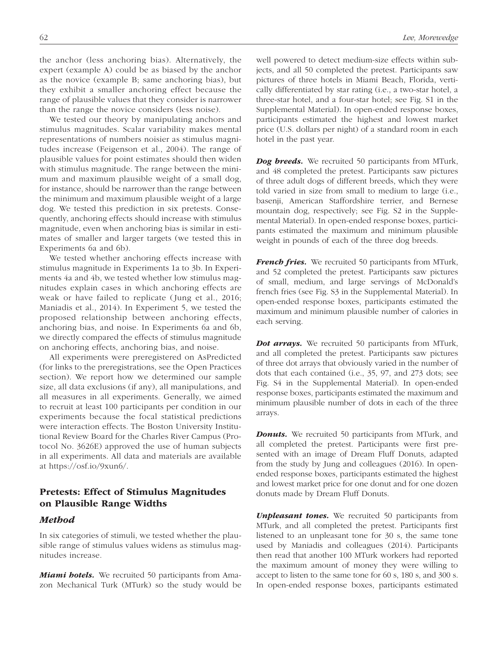the anchor (less anchoring bias). Alternatively, the expert (example A) could be as biased by the anchor as the novice (example B; same anchoring bias), but they exhibit a smaller anchoring effect because the range of plausible values that they consider is narrower than the range the novice considers (less noise).

We tested our theory by manipulating anchors and stimulus magnitudes. Scalar variability makes mental representations of numbers noisier as stimulus magnitudes increase (Feigenson et al., 2004). The range of plausible values for point estimates should then widen with stimulus magnitude. The range between the minimum and maximum plausible weight of a small dog, for instance, should be narrower than the range between the minimum and maximum plausible weight of a large dog. We tested this prediction in six pretests. Consequently, anchoring effects should increase with stimulus magnitude, even when anchoring bias is similar in estimates of smaller and larger targets (we tested this in Experiments 6a and 6b).

We tested whether anchoring effects increase with stimulus magnitude in Experiments 1a to 3b. In Experiments 4a and 4b, we tested whether low stimulus magnitudes explain cases in which anchoring effects are weak or have failed to replicate (Jung et al., 2016; Maniadis et al., 2014). In Experiment 5, we tested the proposed relationship between anchoring effects, anchoring bias, and noise. In Experiments 6a and 6b, we directly compared the effects of stimulus magnitude on anchoring effects, anchoring bias, and noise.

All experiments were preregistered on AsPredicted (for links to the preregistrations, see the Open Practices section). We report how we determined our sample size, all data exclusions (if any), all manipulations, and all measures in all experiments. Generally, we aimed to recruit at least 100 participants per condition in our experiments because the focal statistical predictions were interaction effects. The Boston University Institutional Review Board for the Charles River Campus (Protocol No. 3626E) approved the use of human subjects in all experiments. All data and materials are available at<https://osf.io/9xun6/>.

# Pretests: Effect of Stimulus Magnitudes on Plausible Range Widths

#### *Method*

In six categories of stimuli, we tested whether the plausible range of stimulus values widens as stimulus magnitudes increase.

*Miami hotels.* We recruited 50 participants from Amazon Mechanical Turk (MTurk) so the study would be well powered to detect medium-size effects within subjects, and all 50 completed the pretest. Participants saw pictures of three hotels in Miami Beach, Florida, vertically differentiated by star rating (i.e., a two-star hotel, a three-star hotel, and a four-star hotel; see Fig. S1 in the Supplemental Material). In open-ended response boxes, participants estimated the highest and lowest market price (U.S. dollars per night) of a standard room in each hotel in the past year.

*Dog breeds.* We recruited 50 participants from MTurk, and 48 completed the pretest. Participants saw pictures of three adult dogs of different breeds, which they were told varied in size from small to medium to large (i.e., basenji, American Staffordshire terrier, and Bernese mountain dog, respectively; see Fig. S2 in the Supplemental Material). In open-ended response boxes, participants estimated the maximum and minimum plausible weight in pounds of each of the three dog breeds.

*French fries.* We recruited 50 participants from MTurk, and 52 completed the pretest. Participants saw pictures of small, medium, and large servings of McDonald's french fries (see Fig. S3 in the Supplemental Material). In open-ended response boxes, participants estimated the maximum and minimum plausible number of calories in each serving.

*Dot arrays.* We recruited 50 participants from MTurk, and all completed the pretest. Participants saw pictures of three dot arrays that obviously varied in the number of dots that each contained (i.e., 35, 97, and 273 dots; see Fig. S4 in the Supplemental Material). In open-ended response boxes, participants estimated the maximum and minimum plausible number of dots in each of the three arrays.

*Donuts.* We recruited 50 participants from MTurk, and all completed the pretest. Participants were first presented with an image of Dream Fluff Donuts, adapted from the study by Jung and colleagues (2016). In openended response boxes, participants estimated the highest and lowest market price for one donut and for one dozen donuts made by Dream Fluff Donuts.

*Unpleasant tones.* We recruited 50 participants from MTurk, and all completed the pretest. Participants first listened to an unpleasant tone for 30 s, the same tone used by Maniadis and colleagues (2014). Participants then read that another 100 MTurk workers had reported the maximum amount of money they were willing to accept to listen to the same tone for 60 s, 180 s, and 300 s. In open-ended response boxes, participants estimated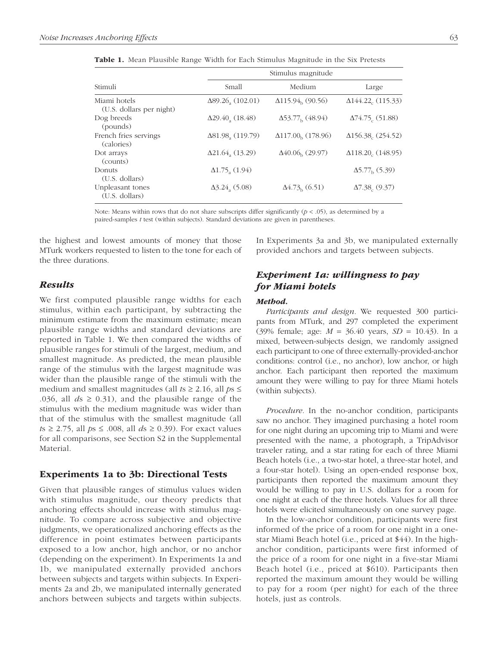|                                          | Stimulus magnitude                   |                                       |                                       |  |
|------------------------------------------|--------------------------------------|---------------------------------------|---------------------------------------|--|
| Stimuli                                  | Small                                | Medium                                | Large                                 |  |
| Miami hotels<br>(U.S. dollars per night) | $\Delta 89.26_{\rm a}$ (102.01)      | $\Delta$ 115.94 <sub>b</sub> (90.56)  | $\Delta$ 144.22 <sub>c</sub> (115.33) |  |
| Dog breeds<br>(pounds)                   | $\Delta$ 29.40 (18.48)               | $\Delta$ 53.77 <sub>b</sub> (48.94)   | $\Delta$ 74.75 (51.88)                |  |
| French fries servings<br>(calories)      | $\Delta$ 81.98 <sub>a</sub> (119.79) | $\Delta$ 117.00 <sub>b</sub> (178.96) | $\Delta$ 156.38 (254.52)              |  |
| Dot arrays<br>(counts)                   | $\Delta$ 21.64, (13.29)              | $\Delta 40.06_h$ (29.97)              | $\Delta$ 118.20 <sub>c</sub> (148.95) |  |
| Donuts<br>(U.S. dollars)                 | $\Delta$ 1.75 (1.94)                 |                                       | $\Delta$ 5.77 <sub>h</sub> (5.39)     |  |
| Unpleasant tones<br>(U.S. dollars)       | $\Delta$ 3.24 (5.08)                 | $\Delta$ 4.73 <sub>b</sub> (6.51)     | $\Delta$ 7.38, (9.37)                 |  |

Table 1. Mean Plausible Range Width for Each Stimulus Magnitude in the Six Pretests

Note: Means within rows that do not share subscripts differ significantly  $(p < .05)$ , as determined by a paired-samples *t* test (within subjects). Standard deviations are given in parentheses.

the highest and lowest amounts of money that those MTurk workers requested to listen to the tone for each of the three durations.

#### *Results*

We first computed plausible range widths for each stimulus, within each participant, by subtracting the minimum estimate from the maximum estimate; mean plausible range widths and standard deviations are reported in Table 1. We then compared the widths of plausible ranges for stimuli of the largest, medium, and smallest magnitude. As predicted, the mean plausible range of the stimulus with the largest magnitude was wider than the plausible range of the stimuli with the medium and smallest magnitudes (all  $ts \ge 2.16$ , all  $ps \le$ .036, all  $ds \ge 0.31$ ), and the plausible range of the stimulus with the medium magnitude was wider than that of the stimulus with the smallest magnitude (all *t*s ≥ 2.75, all *p*s ≤ .008, all *d*s ≥ 0.39). For exact values for all comparisons, see Section S2 in the Supplemental Material.

#### Experiments 1a to 3b: Directional Tests

Given that plausible ranges of stimulus values widen with stimulus magnitude, our theory predicts that anchoring effects should increase with stimulus magnitude. To compare across subjective and objective judgments, we operationalized anchoring effects as the difference in point estimates between participants exposed to a low anchor, high anchor, or no anchor (depending on the experiment). In Experiments 1a and 1b, we manipulated externally provided anchors between subjects and targets within subjects. In Experiments 2a and 2b, we manipulated internally generated anchors between subjects and targets within subjects. In Experiments 3a and 3b, we manipulated externally provided anchors and targets between subjects.

# *Experiment 1a: willingness to pay for Miami hotels*

#### *Method.*

*Participants and design.* We requested 300 participants from MTurk, and 297 completed the experiment (39% female; age: *M* = 36.40 years, *SD* = 10.43). In a mixed, between-subjects design, we randomly assigned each participant to one of three externally-provided-anchor conditions: control (i.e., no anchor), low anchor, or high anchor. Each participant then reported the maximum amount they were willing to pay for three Miami hotels (within subjects).

*Procedure.* In the no-anchor condition, participants saw no anchor. They imagined purchasing a hotel room for one night during an upcoming trip to Miami and were presented with the name, a photograph, a TripAdvisor traveler rating, and a star rating for each of three Miami Beach hotels (i.e., a two-star hotel, a three-star hotel, and a four-star hotel). Using an open-ended response box, participants then reported the maximum amount they would be willing to pay in U.S. dollars for a room for one night at each of the three hotels. Values for all three hotels were elicited simultaneously on one survey page.

In the low-anchor condition, participants were first informed of the price of a room for one night in a onestar Miami Beach hotel (i.e., priced at \$44). In the highanchor condition, participants were first informed of the price of a room for one night in a five-star Miami Beach hotel (i.e., priced at \$610). Participants then reported the maximum amount they would be willing to pay for a room (per night) for each of the three hotels, just as controls.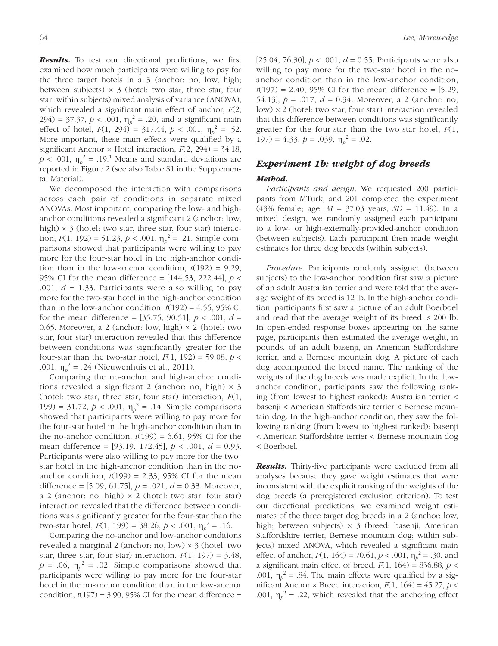*Results.* To test our directional predictions, we first examined how much participants were willing to pay for the three target hotels in a 3 (anchor: no, low, high; between subjects)  $\times$  3 (hotel: two star, three star, four star; within subjects) mixed analysis of variance (ANOVA), which revealed a significant main effect of anchor, *F*(2, 294) = 37.37,  $p < .001$ ,  $\eta_p^2 = .20$ , and a significant main effect of hotel,  $F(1, 294) = 317.44$ ,  $p < .001$ ,  $\eta_p^2 = .52$ . More important, these main effects were qualified by a significant Anchor  $\times$  Hotel interaction,  $F(2, 294) = 34.18$ ,  $p < .001$ ,  $\eta_p^2 = .19$ .<sup>1</sup> Means and standard deviations are reported in Figure 2 (see also Table S1 in the Supplemental Material).

We decomposed the interaction with comparisons across each pair of conditions in separate mixed ANOVAs. Most important, comparing the low- and highanchor conditions revealed a significant 2 (anchor: low, high)  $\times$  3 (hotel: two star, three star, four star) interaction,  $F(1, 192) = 51.23, p < .001, \eta_p^2 = .21$ . Simple comparisons showed that participants were willing to pay more for the four-star hotel in the high-anchor condition than in the low-anchor condition,  $t(192) = 9.29$ , 95% CI for the mean difference = [144.53, 222.44], *p* < .001,  $d = 1.33$ . Participants were also willing to pay more for the two-star hotel in the high-anchor condition than in the low-anchor condition,  $t(192) = 4.55$ , 95% CI for the mean difference =  $[35.75, 90.51]$ ,  $p < .001$ ,  $d =$ 0.65. Moreover, a 2 (anchor: low, high)  $\times$  2 (hotel: two star, four star) interaction revealed that this difference between conditions was significantly greater for the four-star than the two-star hotel,  $F(1, 192) = 59.08$ ,  $p <$ .001,  $\eta_p^2 = .24$  (Nieuwenhuis et al., 2011).

Comparing the no-anchor and high-anchor conditions revealed a significant 2 (anchor: no, high)  $\times$  3 (hotel: two star, three star, four star) interaction, *F*(1, 199) = 31.72,  $p < .001$ ,  $\eta_p^2 = .14$ . Simple comparisons showed that participants were willing to pay more for the four-star hotel in the high-anchor condition than in the no-anchor condition,  $t(199) = 6.61$ , 95% CI for the mean difference = [93.19, 172.45], *p* < .001, *d* = 0.93. Participants were also willing to pay more for the twostar hotel in the high-anchor condition than in the noanchor condition,  $t(199) = 2.33$ , 95% CI for the mean difference = [5.09, 61.75], *p* = .021, *d* = 0.33. Moreover, a 2 (anchor: no, high)  $\times$  2 (hotel: two star, four star) interaction revealed that the difference between conditions was significantly greater for the four-star than the two-star hotel,  $F(1, 199) = 38.26, p < .001, \eta_p^2 = .16$ .

Comparing the no-anchor and low-anchor conditions revealed a marginal 2 (anchor: no, low) × 3 (hotel: two star, three star, four star) interaction,  $F(1, 197) = 3.48$ ,  $p = .06$ ,  $\eta_p^2 = .02$ . Simple comparisons showed that participants were willing to pay more for the four-star hotel in the no-anchor condition than in the low-anchor condition,  $t(197) = 3.90, 95\%$  CI for the mean difference =

[25.04, 76.30], *p* < .001, *d* = 0.55. Participants were also willing to pay more for the two-star hotel in the noanchor condition than in the low-anchor condition,  $t(197) = 2.40, 95\%$  CI for the mean difference = [5.29, 54.13], *p* = .017, *d* = 0.34. Moreover, a 2 (anchor: no, low) × 2 (hotel: two star, four star) interaction revealed that this difference between conditions was significantly greater for the four-star than the two-star hotel, *F*(1, 197) = 4.33,  $p = .039$ ,  $\eta_p^2 = .02$ .

# *Experiment 1b: weight of dog breeds Method.*

*Participants and design.* We requested 200 participants from MTurk, and 201 completed the experiment (43% female; age: *M* = 37.03 years, *SD* = 11.49). In a mixed design, we randomly assigned each participant to a low- or high-externally-provided-anchor condition (between subjects). Each participant then made weight estimates for three dog breeds (within subjects).

*Procedure.* Participants randomly assigned (between subjects) to the low-anchor condition first saw a picture of an adult Australian terrier and were told that the average weight of its breed is 12 lb. In the high-anchor condition, participants first saw a picture of an adult Boerboel and read that the average weight of its breed is 200 lb. In open-ended response boxes appearing on the same page, participants then estimated the average weight, in pounds, of an adult basenji, an American Staffordshire terrier, and a Bernese mountain dog. A picture of each dog accompanied the breed name. The ranking of the weights of the dog breeds was made explicit. In the lowanchor condition, participants saw the following ranking (from lowest to highest ranked): Australian terrier < basenji < American Staffordshire terrier < Bernese mountain dog. In the high-anchor condition, they saw the following ranking (from lowest to highest ranked): basenji < American Staffordshire terrier < Bernese mountain dog < Boerboel.

*Results.* Thirty-five participants were excluded from all analyses because they gave weight estimates that were inconsistent with the explicit ranking of the weights of the dog breeds (a preregistered exclusion criterion). To test our directional predictions, we examined weight estimates of the three target dog breeds in a 2 (anchor: low, high; between subjects) × 3 (breed: basenji, American Staffordshire terrier, Bernese mountain dog; within subjects) mixed ANOVA, which revealed a significant main effect of anchor,  $F(1, 164) = 70.61, p < .001, \eta_p^2 = .30$ , and a significant main effect of breed,  $F(1, 164) = 836.88$ ,  $p <$ .001,  $\eta_p^2 = .84$ . The main effects were qualified by a significant Anchor  $\times$  Breed interaction,  $F(1, 164) = 45.27$ ,  $p \lt \text{ }$ .001,  $\eta_p^2 = 0.22$ , which revealed that the anchoring effect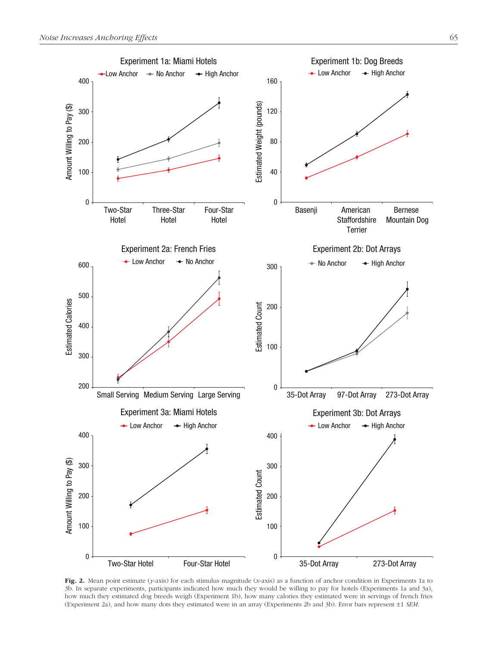

Fig. 2. Mean point estimate (*y*-axis) for each stimulus magnitude (*x*-axis) as a function of anchor condition in Experiments 1a to 3b. In separate experiments, participants indicated how much they would be willing to pay for hotels (Experiments 1a and 3a), how much they estimated dog breeds weigh (Experiment 1b), how many calories they estimated were in servings of french fries (Experiment 2a), and how many dots they estimated were in an array (Experiments 2b and 3b). Error bars represent ±1 *SEM*.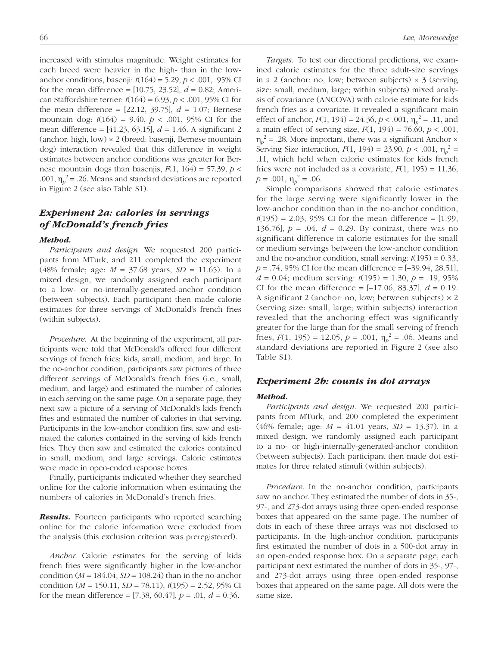increased with stimulus magnitude. Weight estimates for each breed were heavier in the high- than in the lowanchor conditions, basenji: *t*(164) = 5.29, *p* < .001, 95% CI for the mean difference =  $[10.75, 23.52]$ ,  $d = 0.82$ ; American Staffordshire terrier: *t*(164) = 6.93, *p* < .001, 95% CI for the mean difference =  $[22.12, 39.75]$ ,  $d = 1.07$ ; Bernese mountain dog: *t*(164) = 9.40, *p* < .001, 95% CI for the mean difference = [41.23, 63.15], *d* = 1.46. A significant 2 (anchor: high, low) × 2 (breed: basenji, Bernese mountain dog) interaction revealed that this difference in weight estimates between anchor conditions was greater for Bernese mountain dogs than basenjis,  $F(1, 164) = 57.39$ ,  $p <$ .001,  $\eta_p^2$  = .26. Means and standard deviations are reported in Figure 2 (see also Table S1).

# *Experiment 2a: calories in servings of McDonald's french fries*

#### *Method.*

*Participants and design.* We requested 200 participants from MTurk, and 211 completed the experiment (48% female; age: *M* = 37.68 years, *SD* = 11.65). In a mixed design, we randomly assigned each participant to a low- or no-internally-generated-anchor condition (between subjects). Each participant then made calorie estimates for three servings of McDonald's french fries (within subjects).

*Procedure.* At the beginning of the experiment, all participants were told that McDonald's offered four different servings of french fries: kids, small, medium, and large. In the no-anchor condition, participants saw pictures of three different servings of McDonald's french fries (i.e., small, medium, and large) and estimated the number of calories in each serving on the same page. On a separate page, they next saw a picture of a serving of McDonald's kids french fries and estimated the number of calories in that serving. Participants in the low-anchor condition first saw and estimated the calories contained in the serving of kids french fries. They then saw and estimated the calories contained in small, medium, and large servings. Calorie estimates were made in open-ended response boxes.

Finally, participants indicated whether they searched online for the calorie information when estimating the numbers of calories in McDonald's french fries.

*Results.* Fourteen participants who reported searching online for the calorie information were excluded from the analysis (this exclusion criterion was preregistered).

*Anchor.* Calorie estimates for the serving of kids french fries were significantly higher in the low-anchor condition ( $M = 184.04$ ,  $SD = 108.24$ ) than in the no-anchor condition (*M* = 150.11, *SD* = 78.11), *t*(195) = 2.52, 95% CI for the mean difference = [7.38, 60.47], *p* = .01, *d* = 0.36.

*Targets.* To test our directional predictions, we examined calorie estimates for the three adult-size servings in a 2 (anchor: no, low; between subjects)  $\times$  3 (serving size: small, medium, large; within subjects) mixed analysis of covariance (ANCOVA) with calorie estimate for kids french fries as a covariate. It revealed a significant main effect of anchor,  $F(1, 194) = 24.36$ ,  $p < .001$ ,  $\eta_p^2 = .11$ , and a main effect of serving size, *F*(1, 194) = 76.60, *p* < .001,  $\eta_p^2$  = .28. More important, there was a significant Anchor  $\times$ Serving Size interaction,  $F(1, 194) = 23.90, p < .001, \eta_p^2 =$ .11, which held when calorie estimates for kids french fries were not included as a covariate,  $F(1, 195) = 11.36$ ,  $p = .001, \eta_p^2 = .06.$ 

Simple comparisons showed that calorie estimates for the large serving were significantly lower in the low-anchor condition than in the no-anchor condition,  $t(195) = 2.03, 95\%$  CI for the mean difference = [1.99, 136.76],  $p = .04$ ,  $d = 0.29$ . By contrast, there was no significant difference in calorie estimates for the small or medium servings between the low-anchor condition and the no-anchor condition, small serving:  $t(195) = 0.33$ , *p* = .74, 95% CI for the mean difference = [–39.94, 28.51], *d* = 0.04; medium serving: *t*(195) = 1.30, *p* = .19, 95% CI for the mean difference = [–17.06, 83.37], *d* = 0.19. A significant 2 (anchor: no, low; between subjects) × 2 (serving size: small, large; within subjects) interaction revealed that the anchoring effect was significantly greater for the large than for the small serving of french fries,  $F(1, 195) = 12.05$ ,  $p = .001$ ,  $\eta_p^2 = .06$ . Means and standard deviations are reported in Figure 2 (see also Table S1).

### *Experiment 2b: counts in dot arrays*

#### *Method.*

*Participants and design.* We requested 200 participants from MTurk, and 200 completed the experiment (46% female; age: *M* = 41.01 years, *SD* = 13.37). In a mixed design, we randomly assigned each participant to a no- or high-internally-generated-anchor condition (between subjects). Each participant then made dot estimates for three related stimuli (within subjects).

*Procedure.* In the no-anchor condition, participants saw no anchor. They estimated the number of dots in 35-, 97-, and 273-dot arrays using three open-ended response boxes that appeared on the same page. The number of dots in each of these three arrays was not disclosed to participants. In the high-anchor condition, participants first estimated the number of dots in a 500-dot array in an open-ended response box. On a separate page, each participant next estimated the number of dots in 35-, 97-, and 273-dot arrays using three open-ended response boxes that appeared on the same page. All dots were the same size.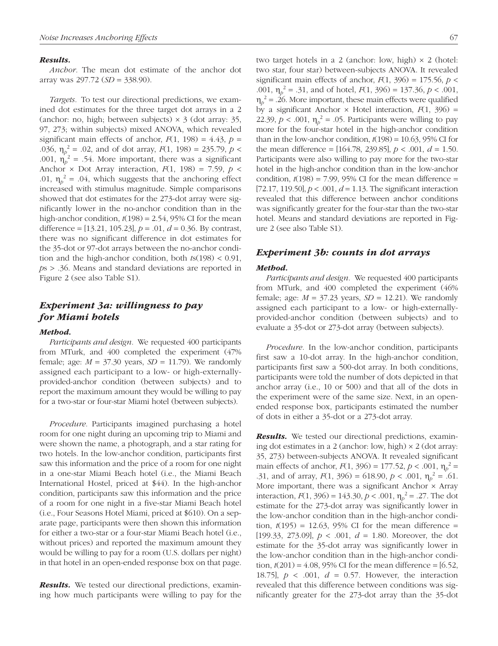#### *Results.*

*Anchor.* The mean dot estimate of the anchor dot array was 297.72 (*SD* = 338.90).

*Targets.* To test our directional predictions, we examined dot estimates for the three target dot arrays in a 2 (anchor: no, high; between subjects)  $\times$  3 (dot array: 35, 97, 273; within subjects) mixed ANOVA, which revealed significant main effects of anchor,  $F(1, 198) = 4.43$ ,  $p =$ .036,  $\eta_p^2 = 0.02$ , and of dot array,  $F(1, 198) = 235.79$ ,  $p <$ .001,  $\eta_p^2 = .54$ . More important, there was a significant Anchor  $\times$  Dot Array interaction,  $F(1, 198) = 7.59$ ,  $p \lt \text{S}$ .01,  $\eta_p^2 = .04$ , which suggests that the anchoring effect increased with stimulus magnitude. Simple comparisons showed that dot estimates for the 273-dot array were significantly lower in the no-anchor condition than in the high-anchor condition,  $t(198) = 2.54$ , 95% CI for the mean difference = [13.21, 105.23], *p* = .01, *d* = 0.36. By contrast, there was no significant difference in dot estimates for the 35-dot or 97-dot arrays between the no-anchor condition and the high-anchor condition, both *t*s(198) < 0.91, *p*s > .36. Means and standard deviations are reported in Figure 2 (see also Table S1).

# *Experiment 3a: willingness to pay for Miami hotels*

#### *Method.*

*Participants and design.* We requested 400 participants from MTurk, and 400 completed the experiment (47% female; age:  $M = 37.30$  years,  $SD = 11.79$ ). We randomly assigned each participant to a low- or high-externallyprovided-anchor condition (between subjects) and to report the maximum amount they would be willing to pay for a two-star or four-star Miami hotel (between subjects).

*Procedure.* Participants imagined purchasing a hotel room for one night during an upcoming trip to Miami and were shown the name, a photograph, and a star rating for two hotels. In the low-anchor condition, participants first saw this information and the price of a room for one night in a one-star Miami Beach hotel (i.e., the Miami Beach International Hostel, priced at \$44). In the high-anchor condition, participants saw this information and the price of a room for one night in a five-star Miami Beach hotel (i.e., Four Seasons Hotel Miami, priced at \$610). On a separate page, participants were then shown this information for either a two-star or a four-star Miami Beach hotel (i.e., without prices) and reported the maximum amount they would be willing to pay for a room (U.S. dollars per night) in that hotel in an open-ended response box on that page.

*Results.* We tested our directional predictions, examining how much participants were willing to pay for the two target hotels in a 2 (anchor: low, high)  $\times$  2 (hotel: two star, four star) between-subjects ANOVA. It revealed significant main effects of anchor,  $F(1, 396) = 175.56$ ,  $p <$ .001,  $\eta_p^2 = .31$ , and of hotel,  $F(1, 396) = 137.36, p < .001$ ,  $\eta_p^2$  = .26. More important, these main effects were qualified by a significant Anchor  $\times$  Hotel interaction,  $F(1, 396)$  = 22.39,  $p < .001$ ,  $\eta_p^2 = .05$ . Participants were willing to pay more for the four-star hotel in the high-anchor condition than in the low-anchor condition,  $t(198) = 10.63$ , 95% CI for the mean difference =  $[164.78, 239.85]$ ,  $p < .001$ ,  $d = 1.50$ . Participants were also willing to pay more for the two-star hotel in the high-anchor condition than in the low-anchor condition,  $t(198) = 7.99$ , 95% CI for the mean difference = [72.17, 119.50],  $p < .001$ ,  $d = 1.13$ . The significant interaction revealed that this difference between anchor conditions was significantly greater for the four-star than the two-star hotel. Means and standard deviations are reported in Figure 2 (see also Table S1).

# *Experiment 3b: counts in dot arrays*

#### *Method.*

*Participants and design.* We requested 400 participants from MTurk, and 400 completed the experiment (46% female; age:  $M = 37.23$  years,  $SD = 12.21$ ). We randomly assigned each participant to a low- or high-externallyprovided-anchor condition (between subjects) and to evaluate a 35-dot or 273-dot array (between subjects).

*Procedure.* In the low-anchor condition, participants first saw a 10-dot array. In the high-anchor condition, participants first saw a 500-dot array. In both conditions, participants were told the number of dots depicted in that anchor array (i.e., 10 or 500) and that all of the dots in the experiment were of the same size. Next, in an openended response box, participants estimated the number of dots in either a 35-dot or a 273-dot array.

*Results.* We tested our directional predictions, examining dot estimates in a 2 (anchor: low, high)  $\times$  2 (dot array: 35, 273) between-subjects ANOVA. It revealed significant main effects of anchor,  $F(1, 396) = 177.52$ ,  $p < .001$ ,  $\eta_p^2 =$ .31, and of array,  $F(1, 396) = 618.90$ ,  $p < .001$ ,  $\eta_p^2 = .61$ . More important, there was a significant Anchor  $\times$  Array interaction,  $F(1, 396) = 143.30, p < .001, \eta_p^2 = .27$ . The dot estimate for the 273-dot array was significantly lower in the low-anchor condition than in the high-anchor condition,  $t(195) = 12.63, 95\%$  CI for the mean difference = [199.33, 273.09], *p* < .001, *d* = 1.80. Moreover, the dot estimate for the 35-dot array was significantly lower in the low-anchor condition than in the high-anchor condition,  $t(201) = 4.08$ , 95% CI for the mean difference = [6.52, 18.75], *p* < .001, *d* = 0.57. However, the interaction revealed that this difference between conditions was significantly greater for the 273-dot array than the 35-dot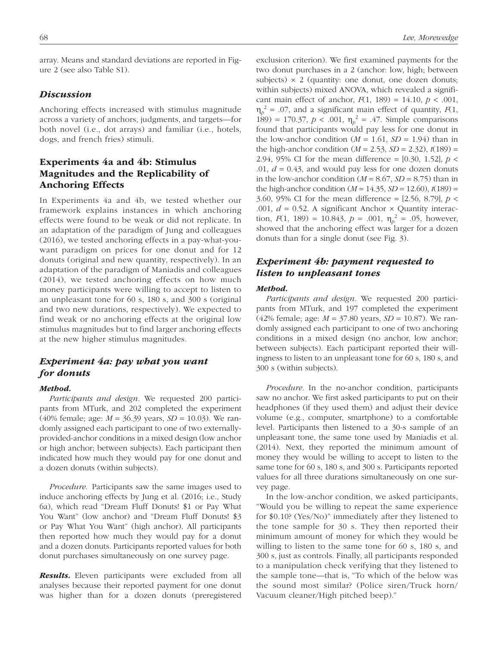array. Means and standard deviations are reported in Figure 2 (see also Table S1).

#### *Discussion*

Anchoring effects increased with stimulus magnitude across a variety of anchors, judgments, and targets—for both novel (i.e., dot arrays) and familiar (i.e., hotels, dogs, and french fries) stimuli.

# Experiments 4a and 4b: Stimulus Magnitudes and the Replicability of Anchoring Effects

In Experiments 4a and 4b, we tested whether our framework explains instances in which anchoring effects were found to be weak or did not replicate. In an adaptation of the paradigm of Jung and colleagues (2016), we tested anchoring effects in a pay-what-youwant paradigm on prices for one donut and for 12 donuts (original and new quantity, respectively). In an adaptation of the paradigm of Maniadis and colleagues (2014), we tested anchoring effects on how much money participants were willing to accept to listen to an unpleasant tone for 60 s, 180 s, and 300 s (original and two new durations, respectively). We expected to find weak or no anchoring effects at the original low stimulus magnitudes but to find larger anchoring effects at the new higher stimulus magnitudes.

# *Experiment 4a: pay what you want for donuts*

#### *Method.*

*Participants and design.* We requested 200 participants from MTurk, and 202 completed the experiment (40% female; age: *M* = 36.39 years, *SD* = 10.03). We randomly assigned each participant to one of two externallyprovided-anchor conditions in a mixed design (low anchor or high anchor; between subjects). Each participant then indicated how much they would pay for one donut and a dozen donuts (within subjects).

*Procedure.* Participants saw the same images used to induce anchoring effects by Jung et al. (2016; i.e., Study 6a), which read "Dream Fluff Donuts! \$1 or Pay What You Want" (low anchor) and "Dream Fluff Donuts! \$3 or Pay What You Want" (high anchor). All participants then reported how much they would pay for a donut and a dozen donuts. Participants reported values for both donut purchases simultaneously on one survey page.

*Results.* Eleven participants were excluded from all analyses because their reported payment for one donut was higher than for a dozen donuts (preregistered exclusion criterion). We first examined payments for the two donut purchases in a 2 (anchor: low, high; between subjects)  $\times$  2 (quantity: one donut, one dozen donuts; within subjects) mixed ANOVA, which revealed a significant main effect of anchor,  $F(1, 189) = 14.10, p < .001$ ,  $\eta_p^2$  = .07, and a significant main effect of quantity, *F*(1, 189) = 170.37,  $p < .001$ ,  $\eta_p^2 = .47$ . Simple comparisons found that participants would pay less for one donut in the low-anchor condition ( $M = 1.61$ ,  $SD = 1.94$ ) than in the high-anchor condition ( $M = 2.53$ ,  $SD = 2.32$ ),  $t(189) =$ 2.94, 95% CI for the mean difference = [0.30, 1.52], *p* < .01,  $d = 0.43$ , and would pay less for one dozen donuts in the low-anchor condition  $(M = 8.67, SD = 8.75)$  than in the high-anchor condition  $(M = 14.35, SD = 12.60), t(189) =$ 3.60, 95% CI for the mean difference = [2.56, 8.79], *p* < .001,  $d = 0.52$ . A significant Anchor  $\times$  Quantity interaction,  $F(1, 189) = 10.843$ ,  $p = .001$ ,  $\eta_p^2 = .05$ , however, showed that the anchoring effect was larger for a dozen donuts than for a single donut (see Fig. 3).

# *Experiment 4b: payment requested to listen to unpleasant tones*

#### *Method.*

*Participants and design.* We requested 200 participants from MTurk, and 197 completed the experiment (42% female; age: *M* = 37.80 years, *SD* = 10.87). We randomly assigned each participant to one of two anchoring conditions in a mixed design (no anchor, low anchor; between subjects). Each participant reported their willingness to listen to an unpleasant tone for 60 s, 180 s, and 300 s (within subjects).

*Procedure.* In the no-anchor condition, participants saw no anchor. We first asked participants to put on their headphones (if they used them) and adjust their device volume (e.g., computer, smartphone) to a comfortable level. Participants then listened to a 30-s sample of an unpleasant tone, the same tone used by Maniadis et al. (2014). Next, they reported the minimum amount of money they would be willing to accept to listen to the same tone for 60 s, 180 s, and 300 s. Participants reported values for all three durations simultaneously on one survey page.

In the low-anchor condition, we asked participants, "Would you be willing to repeat the same experience for \$0.10? (Yes/No)" immediately after they listened to the tone sample for 30 s. They then reported their minimum amount of money for which they would be willing to listen to the same tone for 60 s, 180 s, and 300 s, just as controls. Finally, all participants responded to a manipulation check verifying that they listened to the sample tone—that is, "To which of the below was the sound most similar? (Police siren/Truck horn/ Vacuum cleaner/High pitched beep)."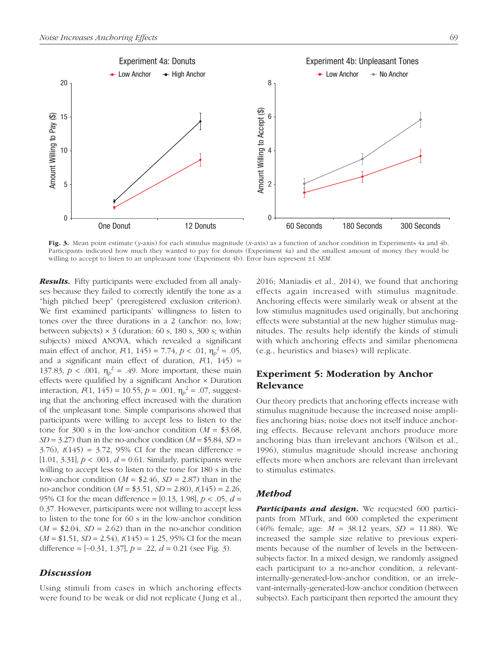

Fig. 3. Mean point estimate (*y*-axis) for each stimulus magnitude (*x*-axis) as a function of anchor condition in Experiments 4a and 4b. Participants indicated how much they wanted to pay for donuts (Experiment 4a) and the smallest amount of money they would be willing to accept to listen to an unpleasant tone (Experiment 4b). Error bars represent ±1 *SEM*.

*Results.* Fifty participants were excluded from all analyses because they failed to correctly identify the tone as a "high pitched beep" (preregistered exclusion criterion). We first examined participants' willingness to listen to tones over the three durations in a 2 (anchor: no, low; between subjects)  $\times$  3 (duration: 60 s, 180 s, 300 s; within subjects) mixed ANOVA, which revealed a significant main effect of anchor,  $F(1, 145) = 7.74$ ,  $p < .01$ ,  $\eta_p^2 = .05$ , and a significant main effect of duration,  $F(1, 145)$  = 137.83,  $p < .001$ ,  $\eta_p^2 = .49$ . More important, these main effects were qualified by a significant Anchor × Duration interaction,  $F(1, 145) = 10.55$ ,  $p = .001$ ,  $\eta_p^2 = .07$ , suggesting that the anchoring effect increased with the duration of the unpleasant tone. Simple comparisons showed that participants were willing to accept less to listen to the tone for 300 s in the low-anchor condition  $(M = $3.68,$  $SD = 3.27$ ) than in the no-anchor condition ( $M = $5.84$ ,  $SD =$ 3.76), *t*(145) = 3.72, 95% CI for the mean difference = [1.01, 3.31],  $p < .001$ ,  $d = 0.61$ . Similarly, participants were willing to accept less to listen to the tone for 180 s in the low-anchor condition  $(M = $2.46, SD = 2.87)$  than in the no-anchor condition (*M* = \$3.51, *SD* = 2.80), *t*(145) = 2.26, 95% CI for the mean difference = [0.13, 1.98], *p* < .05, *d* = 0.37. However, participants were not willing to accept less to listen to the tone for 60 s in the low-anchor condition  $(M = $2.04, SD = 2.62)$  than in the no-anchor condition (*M* = \$1.51, *SD* = 2.54), *t*(145) = 1.25, 95% CI for the mean difference = [−0.31, 1.37], *p* = .22, *d* = 0.21 (see Fig. 3).

#### *Discussion*

Using stimuli from cases in which anchoring effects were found to be weak or did not replicate (Jung et al.,

2016; Maniadis et al., 2014), we found that anchoring effects again increased with stimulus magnitude. Anchoring effects were similarly weak or absent at the low stimulus magnitudes used originally, but anchoring effects were substantial at the new higher stimulus magnitudes. The results help identify the kinds of stimuli with which anchoring effects and similar phenomena (e.g., heuristics and biases) will replicate.

# Experiment 5: Moderation by Anchor Relevance

Our theory predicts that anchoring effects increase with stimulus magnitude because the increased noise amplifies anchoring bias; noise does not itself induce anchoring effects. Because relevant anchors produce more anchoring bias than irrelevant anchors (Wilson et al., 1996), stimulus magnitude should increase anchoring effects more when anchors are relevant than irrelevant to stimulus estimates.

#### *Method*

**Participants and design.** We requested 600 participants from MTurk, and 600 completed the experiment (46% female; age: *M* = 38.12 years, *SD* = 11.88). We increased the sample size relative to previous experiments because of the number of levels in the betweensubjects factor. In a mixed design, we randomly assigned each participant to a no-anchor condition, a relevantinternally-generated-low-anchor condition, or an irrelevant-internally-generated-low-anchor condition (between subjects). Each participant then reported the amount they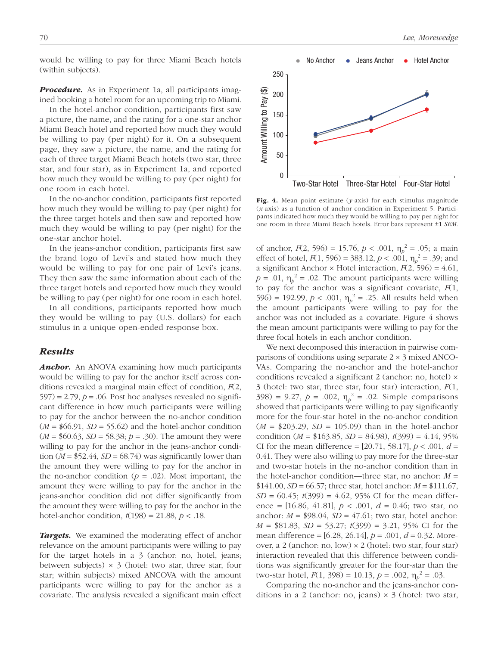would be willing to pay for three Miami Beach hotels (within subjects).

**Procedure.** As in Experiment 1a, all participants imagined booking a hotel room for an upcoming trip to Miami.

In the hotel-anchor condition, participants first saw a picture, the name, and the rating for a one-star anchor Miami Beach hotel and reported how much they would be willing to pay (per night) for it. On a subsequent page, they saw a picture, the name, and the rating for each of three target Miami Beach hotels (two star, three star, and four star), as in Experiment 1a, and reported how much they would be willing to pay (per night) for one room in each hotel.

In the no-anchor condition, participants first reported how much they would be willing to pay (per night) for the three target hotels and then saw and reported how much they would be willing to pay (per night) for the one-star anchor hotel.

In the jeans-anchor condition, participants first saw the brand logo of Levi's and stated how much they would be willing to pay for one pair of Levi's jeans. They then saw the same information about each of the three target hotels and reported how much they would be willing to pay (per night) for one room in each hotel.

In all conditions, participants reported how much they would be willing to pay (U.S. dollars) for each stimulus in a unique open-ended response box.

#### *Results*

*Anchor.* An ANOVA examining how much participants would be willing to pay for the anchor itself across conditions revealed a marginal main effect of condition, *F*(2,  $597$ ) = 2.79,  $p = 0.06$ . Post hoc analyses revealed no significant difference in how much participants were willing to pay for the anchor between the no-anchor condition  $(M = $66.91, SD = 55.62)$  and the hotel-anchor condition  $(M = $60.63, SD = 58.38; p = .30)$ . The amount they were willing to pay for the anchor in the jeans-anchor condition  $(M = $52.44, SD = 68.74)$  was significantly lower than the amount they were willing to pay for the anchor in the no-anchor condition ( $p = .02$ ). Most important, the amount they were willing to pay for the anchor in the jeans-anchor condition did not differ significantly from the amount they were willing to pay for the anchor in the hotel-anchor condition,  $t(198) = 21.88$ ,  $p < .18$ .

*Targets.* We examined the moderating effect of anchor relevance on the amount participants were willing to pay for the target hotels in a 3 (anchor: no, hotel, jeans; between subjects)  $\times$  3 (hotel: two star, three star, four star; within subjects) mixed ANCOVA with the amount participants were willing to pay for the anchor as a covariate. The analysis revealed a significant main effect



Fig. 4. Mean point estimate (*y*-axis) for each stimulus magnitude (*x*-axis) as a function of anchor condition in Experiment 5. Participants indicated how much they would be willing to pay per night for one room in three Miami Beach hotels. Error bars represent ±1 *SEM*.

of anchor,  $F(2, 596) = 15.76$ ,  $p < .001$ ,  $\eta_p^2 = .05$ ; a main effect of hotel,  $F(1, 596) = 383.12, p < .001, \eta_p^2 = .39$ ; and a significant Anchor  $\times$  Hotel interaction,  $F(2, 596) = 4.61$ ,  $p = .01$ ,  $\eta_p^2 = .02$ . The amount participants were willing to pay for the anchor was a significant covariate, *F*(1, 596) = 192.99,  $p < .001$ ,  $\eta_p^2 = .25$ . All results held when the amount participants were willing to pay for the anchor was not included as a covariate. Figure 4 shows the mean amount participants were willing to pay for the three focal hotels in each anchor condition.

We next decomposed this interaction in pairwise comparisons of conditions using separate  $2 \times 3$  mixed ANCO-VAs. Comparing the no-anchor and the hotel-anchor conditions revealed a significant 2 (anchor: no, hotel) × 3 (hotel: two star, three star, four star) interaction, *F*(1, 398) = 9.27,  $p = .002$ ,  $\eta_p^2 = .02$ . Simple comparisons showed that participants were willing to pay significantly more for the four-star hotel in the no-anchor condition  $(M = $203.29, SD = 105.09)$  than in the hotel-anchor condition (*M* = \$163.85, *SD* = 84.98), *t*(399) = 4.14, 95% CI for the mean difference =  $[20.71, 58.17]$ ,  $p < .001$ ,  $d =$ 0.41. They were also willing to pay more for the three-star and two-star hotels in the no-anchor condition than in the hotel-anchor condition—three star, no anchor:  $M =$  $$141.00, SD = 66.57$ ; three star, hotel anchor:  $M = $111.67$ , *SD* = 60.45; *t*(399) = 4.62, 95% CI for the mean difference = [16.86, 41.81], *p* < .001, *d* = 0.46; two star, no anchor:  $M = $98.04$ ,  $SD = 47.61$ ; two star, hotel anchor: *M* = \$81.83, *SD* = 53.27; *t*(399) = 3.21, 95% CI for the mean difference = [6.28, 26.14], *p* = .001, *d* = 0.32. Moreover, a 2 (anchor: no, low) × 2 (hotel: two star, four star) interaction revealed that this difference between conditions was significantly greater for the four-star than the two-star hotel,  $F(1, 398) = 10.13$ ,  $p = .002$ ,  $\eta_p^2 = .03$ .

Comparing the no-anchor and the jeans-anchor conditions in a 2 (anchor: no, jeans)  $\times$  3 (hotel: two star,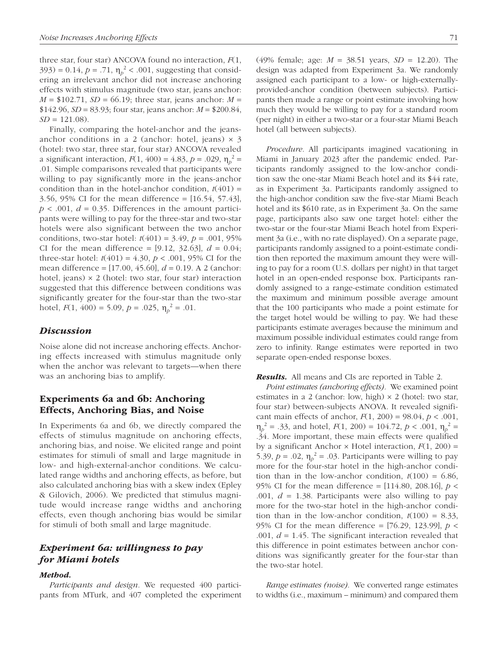three star, four star) ANCOVA found no interaction, *F*(1, 393) = 0.14,  $p = .71$ ,  $\eta_p^2 < .001$ , suggesting that considering an irrelevant anchor did not increase anchoring effects with stimulus magnitude (two star, jeans anchor:  $M = $102.71, SD = 66.19$ ; three star, jeans anchor:  $M =$  $$142.96, SD = 83.93$ ; four star, jeans anchor:  $M = $200.84$ ,  $SD = 121.08$ .

Finally, comparing the hotel-anchor and the jeansanchor conditions in a 2 (anchor: hotel, jeans)  $\times$  3 (hotel: two star, three star, four star) ANCOVA revealed a significant interaction,  $F(1, 400) = 4.83$ ,  $p = .029$ ,  $\eta_p^2 =$ .01. Simple comparisons revealed that participants were willing to pay significantly more in the jeans-anchor condition than in the hotel-anchor condition,  $t(401)$  = 3.56, 95% CI for the mean difference = [16.54, 57.43],  $p < .001$ ,  $d = 0.35$ . Differences in the amount participants were willing to pay for the three-star and two-star hotels were also significant between the two anchor conditions, two-star hotel: *t*(401) = 3.49, *p* = .001, 95% CI for the mean difference =  $[9.12, 32.63], d = 0.04;$ three-star hotel:  $t(401) = 4.30, p < .001, 95\%$  CI for the mean difference = [17.00, 45.60], *d* = 0.19. A 2 (anchor: hotel, jeans)  $\times$  2 (hotel: two star, four star) interaction suggested that this difference between conditions was significantly greater for the four-star than the two-star hotel,  $F(1, 400) = 5.09$ ,  $p = .025$ ,  $\eta_p^2 = .01$ .

#### *Discussion*

Noise alone did not increase anchoring effects. Anchoring effects increased with stimulus magnitude only when the anchor was relevant to targets—when there was an anchoring bias to amplify.

# Experiments 6a and 6b: Anchoring Effects, Anchoring Bias, and Noise

In Experiments 6a and 6b, we directly compared the effects of stimulus magnitude on anchoring effects, anchoring bias, and noise. We elicited range and point estimates for stimuli of small and large magnitude in low- and high-external-anchor conditions. We calculated range widths and anchoring effects, as before, but also calculated anchoring bias with a skew index (Epley & Gilovich, 2006). We predicted that stimulus magnitude would increase range widths and anchoring effects, even though anchoring bias would be similar for stimuli of both small and large magnitude.

# *Experiment 6a: willingness to pay for Miami hotels*

#### *Method.*

*Participants and design.* We requested 400 participants from MTurk, and 407 completed the experiment (49% female; age: *M* = 38.51 years, *SD* = 12.20). The design was adapted from Experiment 3a. We randomly assigned each participant to a low- or high-externallyprovided-anchor condition (between subjects). Participants then made a range or point estimate involving how much they would be willing to pay for a standard room (per night) in either a two-star or a four-star Miami Beach hotel (all between subjects).

*Procedure.* All participants imagined vacationing in Miami in January 2023 after the pandemic ended. Participants randomly assigned to the low-anchor condition saw the one-star Miami Beach hotel and its \$44 rate, as in Experiment 3a. Participants randomly assigned to the high-anchor condition saw the five-star Miami Beach hotel and its \$610 rate, as in Experiment 3a. On the same page, participants also saw one target hotel: either the two-star or the four-star Miami Beach hotel from Experiment 3a (i.e., with no rate displayed). On a separate page, participants randomly assigned to a point-estimate condition then reported the maximum amount they were willing to pay for a room (U.S. dollars per night) in that target hotel in an open-ended response box. Participants randomly assigned to a range-estimate condition estimated the maximum and minimum possible average amount that the 100 participants who made a point estimate for the target hotel would be willing to pay. We had these participants estimate averages because the minimum and maximum possible individual estimates could range from zero to infinity. Range estimates were reported in two separate open-ended response boxes.

#### *Results.* All means and CIs are reported in Table 2.

*Point estimates (anchoring effects).* We examined point estimates in a 2 (anchor: low, high) × 2 (hotel: two star, four star) between-subjects ANOVA. It revealed significant main effects of anchor, *F*(1, 200) = 98.04, *p* < .001,  $\eta_p^2 = .33$ , and hotel,  $F(1, 200) = 104.72$ ,  $p < .001$ ,  $\eta_p^2 =$ .34. More important, these main effects were qualified by a significant Anchor × Hotel interaction, *F*(1, 200) = 5.39,  $p = .02$ ,  $\eta_p^2 = .03$ . Participants were willing to pay more for the four-star hotel in the high-anchor condition than in the low-anchor condition,  $t(100) = 6.86$ , 95% CI for the mean difference = [114.80, 208.16], *p* < .001, *d* = 1.38. Participants were also willing to pay more for the two-star hotel in the high-anchor condition than in the low-anchor condition,  $t(100) = 8.33$ , 95% CI for the mean difference = [76.29, 123.99], *p* < .001, *d* = 1.45. The significant interaction revealed that this difference in point estimates between anchor conditions was significantly greater for the four-star than the two-star hotel.

*Range estimates (noise).* We converted range estimates to widths (i.e., maximum – minimum) and compared them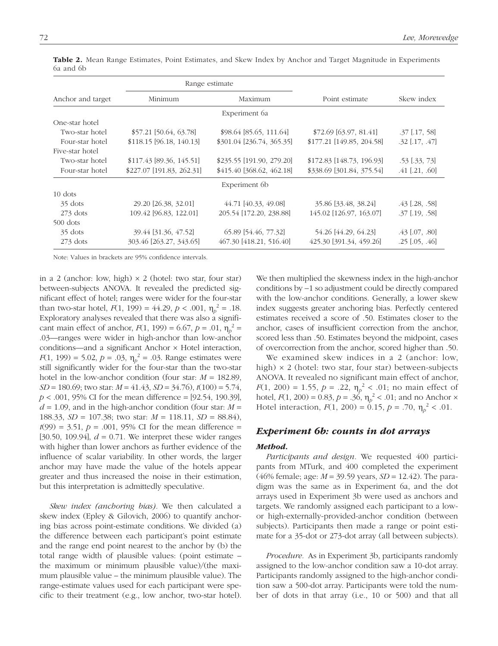|                   | Range estimate            |                            |                           |                      |  |  |
|-------------------|---------------------------|----------------------------|---------------------------|----------------------|--|--|
| Anchor and target | Minimum                   | Maximum                    | Point estimate            | Skew index           |  |  |
|                   |                           | Experiment 6a              |                           |                      |  |  |
| One-star hotel    |                           |                            |                           |                      |  |  |
| Two-star hotel    | $$57.21$ [50.64, 63.78]   | \$98.64 [85.65, 111.64]    | $$72.69$ [63.97, 81.41]   | $.37$ [ $.17, 58$ ]  |  |  |
| Four-star hotel   | $$118.15$ [96.18, 140.13] | \$301.04 [236.74, 365.35]  | \$177.21 [149.85, 204.58] | $.32$ [.17, .47]     |  |  |
| Five-star hotel   |                           |                            |                           |                      |  |  |
| Two-star hotel    | $$117.43$ [89.36, 145.51] | $$235.55$ [191.90, 279.20] | \$172.83 [148.73, 196.93] | $.53$ $[.33, 73]$    |  |  |
| Four-star hotel   | \$227.07 [191.83, 262.31] | \$415.40 [368.62, 462.18]  | \$338.69 [301.84, 375.54] | $.41$ [.21, .60]     |  |  |
| Experiment 6b     |                           |                            |                           |                      |  |  |
| $10$ dots         |                           |                            |                           |                      |  |  |
| 35 dots           | 29.20 [26.38, 32.01]      | 44.71 [40.33, 49.08]       | 35.86 [33.48, 38.24]      | $.43$ [ $.28, .58$ ] |  |  |
| $273$ dots        | 109.42 [96.83, 122.01]    | 205.54 [172.20, 238.88]    | 145.02 [126.97, 163.07]   | $.37$ [.19, .58]     |  |  |
| $500$ dots        |                           |                            |                           |                      |  |  |
| 35 dots           | 39.44 [31.36, 47.52]      | 65.89 [54.46, 77.32]       | 54.26 [44.29, 64.23]      | $.43$ [.07, .80]     |  |  |
| $273$ dots        | 303.46 [263.27, 343.65]   | 467.30 [418.21, 516.40]    | 425.30 [391.34, 459.26]   | $.25$ $[.05, .46]$   |  |  |

Table 2. Mean Range Estimates, Point Estimates, and Skew Index by Anchor and Target Magnitude in Experiments 6a and 6b

Note: Values in brackets are 95% confidence intervals.

in a 2 (anchor: low, high)  $\times$  2 (hotel: two star, four star) between-subjects ANOVA. It revealed the predicted significant effect of hotel; ranges were wider for the four-star than two-star hotel,  $F(1, 199) = 44.29, p < .001, \eta_p^2 = .18$ . Exploratory analyses revealed that there was also a significant main effect of anchor,  $F(1, 199) = 6.67$ ,  $p = .01$ ,  $\eta_p^2 =$ .03—ranges were wider in high-anchor than low-anchor conditions—and a significant Anchor × Hotel interaction, *F*(1, 199) = 5.02, *p* = .03,  $\eta_p^2$  = .03. Range estimates were still significantly wider for the four-star than the two-star hotel in the low-anchor condition (four star: *M* = 182.89, *SD* = 180.69; two star: *M* = 41.43, *SD* = 34.76), *t*(100) = 5.74, *p* < .001, 95% CI for the mean difference = [92.54, 190.39],  $d = 1.09$ , and in the high-anchor condition (four star:  $M =$ 188.33, *SD* = 107.38; two star: *M* = 118.11, *SD* = 88.84),  $t(99) = 3.51, p = .001, 95\%$  CI for the mean difference = [30.50, 109.94], *d* = 0.71. We interpret these wider ranges with higher than lower anchors as further evidence of the influence of scalar variability. In other words, the larger anchor may have made the value of the hotels appear greater and thus increased the noise in their estimation, but this interpretation is admittedly speculative.

*Skew index (anchoring bias).* We then calculated a skew index (Epley & Gilovich, 2006) to quantify anchoring bias across point-estimate conditions. We divided (a) the difference between each participant's point estimate and the range end point nearest to the anchor by (b) the total range width of plausible values: (point estimate – the maximum or minimum plausible value)/(the maximum plausible value – the minimum plausible value). The range-estimate values used for each participant were specific to their treatment (e.g., low anchor, two-star hotel).

We then multiplied the skewness index in the high-anchor conditions by −1 so adjustment could be directly compared with the low-anchor conditions. Generally, a lower skew index suggests greater anchoring bias. Perfectly centered estimates received a score of .50. Estimates closer to the anchor, cases of insufficient correction from the anchor, scored less than .50. Estimates beyond the midpoint, cases of overcorrection from the anchor, scored higher than .50.

We examined skew indices in a 2 (anchor: low, high)  $\times$  2 (hotel: two star, four star) between-subjects ANOVA. It revealed no significant main effect of anchor, *F*(1, 200) = 1.55,  $p = .22$ ,  $\eta_p^2 < .01$ ; no main effect of hotel,  $F(1, 200) = 0.83$ ,  $p = .36$ ,  $\eta_p^2 < .01$ ; and no Anchor  $\times$ Hotel interaction,  $F(1, 200) = 0.15$ ,  $p = .70$ ,  $\eta_p^2 < .01$ .

#### *Experiment 6b: counts in dot arrays*

#### *Method.*

*Participants and design.* We requested 400 participants from MTurk, and 400 completed the experiment (46% female; age: *M* = 39.59 years, *SD* = 12.42). The paradigm was the same as in Experiment 6a, and the dot arrays used in Experiment 3b were used as anchors and targets. We randomly assigned each participant to a lowor high-externally-provided-anchor condition (between subjects). Participants then made a range or point estimate for a 35-dot or 273-dot array (all between subjects).

*Procedure.* As in Experiment 3b, participants randomly assigned to the low-anchor condition saw a 10-dot array. Participants randomly assigned to the high-anchor condition saw a 500-dot array. Participants were told the number of dots in that array (i.e., 10 or 500) and that all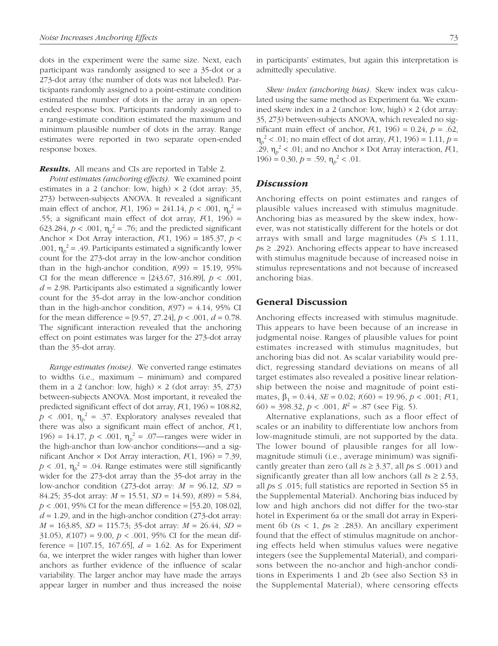dots in the experiment were the same size. Next, each participant was randomly assigned to see a 35-dot or a 273-dot array (the number of dots was not labeled). Participants randomly assigned to a point-estimate condition estimated the number of dots in the array in an openended response box. Participants randomly assigned to a range-estimate condition estimated the maximum and minimum plausible number of dots in the array. Range estimates were reported in two separate open-ended response boxes.

*Results.* All means and CIs are reported in Table 2.

*Point estimates (anchoring effects).* We examined point estimates in a 2 (anchor: low, high)  $\times$  2 (dot array: 35, 273) between-subjects ANOVA. It revealed a significant main effect of anchor,  $F(1, 196) = 241.14, p < .001, \eta_p^2 =$ .55; a significant main effect of dot array,  $F(1, 196) =$ 623.284,  $p < .001$ ,  $\eta_p^2 = .76$ ; and the predicted significant Anchor  $\times$  Dot Array interaction,  $F(1, 196) = 185.37$ ,  $p \le$ .001,  $\eta_p^2$  = .49. Participants estimated a significantly lower count for the 273-dot array in the low-anchor condition than in the high-anchor condition,  $t(99) = 15.19, 95\%$ CI for the mean difference =  $[243.67, 316.89]$ ,  $p < .001$ , *d* = 2.98. Participants also estimated a significantly lower count for the 35-dot array in the low-anchor condition than in the high-anchor condition,  $t(97) = 4.14$ , 95% CI for the mean difference =  $[9.57, 27.24]$ ,  $p < .001$ ,  $d = 0.78$ . The significant interaction revealed that the anchoring effect on point estimates was larger for the 273-dot array than the 35-dot array.

*Range estimates (noise).* We converted range estimates to widths (i.e., maximum – minimum) and compared them in a 2 (anchor: low, high)  $\times$  2 (dot array: 35, 273) between-subjects ANOVA. Most important, it revealed the predicted significant effect of dot array, *F*(1, 196) = 108.82,  $p < .001$ ,  $\eta_p^2 = .37$ . Exploratory analyses revealed that there was also a significant main effect of anchor, *F*(1, 196) = 14.17,  $p < .001$ ,  $\eta_p^2 = .07$ —ranges were wider in the high-anchor than low-anchor conditions—and a significant Anchor  $\times$  Dot Array interaction,  $F(1, 196) = 7.39$ ,  $p < .01$ ,  $\eta_p^2 = .04$ . Range estimates were still significantly wider for the 273-dot array than the 35-dot array in the low-anchor condition (273-dot array: *M* = 96.12, *SD* = 84.25; 35-dot array: *M* = 15.51, *SD* = 14.59), *t*(89) = 5.84, *p* < .001, 95% CI for the mean difference = [53.20, 108.02],  $d = 1.29$ , and in the high-anchor condition (273-dot array: *M* = 163.85, *SD* = 115.73; 35-dot array: *M* = 26.44, *SD* = 31.05),  $t(107) = 9.00$ ,  $p < .001$ , 95% CI for the mean difference =  $[107.15, 167.65]$ ,  $d = 1.62$ . As for Experiment 6a, we interpret the wider ranges with higher than lower anchors as further evidence of the influence of scalar variability. The larger anchor may have made the arrays appear larger in number and thus increased the noise

in participants' estimates, but again this interpretation is admittedly speculative.

*Skew index (anchoring bias).* Skew index was calculated using the same method as Experiment 6a. We examined skew index in a 2 (anchor: low, high)  $\times$  2 (dot array: 35, 273) between-subjects ANOVA, which revealed no significant main effect of anchor,  $F(1, 196) = 0.24$ ,  $p = .62$ , η*p* <sup>2</sup> < .01; no main effect of dot array, *F*(1, 196) = 1.11, *p* = .29,  $\eta_p^2$  < .01; and no Anchor × Dot Array interaction, *F*(1, 196) = 0.30,  $p = .59$ ,  $\eta_p^2 < .01$ .

#### *Discussion*

Anchoring effects on point estimates and ranges of plausible values increased with stimulus magnitude. Anchoring bias as measured by the skew index, however, was not statistically different for the hotels or dot arrays with small and large magnitudes ( $Fs \leq 1.11$ , *p*s ≥ .292). Anchoring effects appear to have increased with stimulus magnitude because of increased noise in stimulus representations and not because of increased anchoring bias.

#### General Discussion

Anchoring effects increased with stimulus magnitude. This appears to have been because of an increase in judgmental noise. Ranges of plausible values for point estimates increased with stimulus magnitudes, but anchoring bias did not. As scalar variability would predict, regressing standard deviations on means of all target estimates also revealed a positive linear relationship between the noise and magnitude of point estimates,  $\beta_1 = 0.44$ ,  $SE = 0.02$ ;  $t(60) = 19.96$ ,  $p < .001$ ;  $F(1)$ , 60) = 398.32,  $p < .001$ ,  $R^2 = .87$  (see Fig. 5).

Alternative explanations, such as a floor effect of scales or an inability to differentiate low anchors from low-magnitude stimuli, are not supported by the data. The lower bound of plausible ranges for all lowmagnitude stimuli (i.e., average minimum) was significantly greater than zero (all  $ts \geq 3.37$ , all  $ps \leq .001$ ) and significantly greater than all low anchors (all  $ts \ge 2.53$ , all *p*s ≤ .015; full statistics are reported in Section S5 in the Supplemental Material). Anchoring bias induced by low and high anchors did not differ for the two-star hotel in Experiment 6a or the small dot array in Experiment 6b ( $ts < 1$ ,  $ps \ge .283$ ). An ancillary experiment found that the effect of stimulus magnitude on anchoring effects held when stimulus values were negative integers (see the Supplemental Material), and comparisons between the no-anchor and high-anchor conditions in Experiments 1 and 2b (see also Section S3 in the Supplemental Material), where censoring effects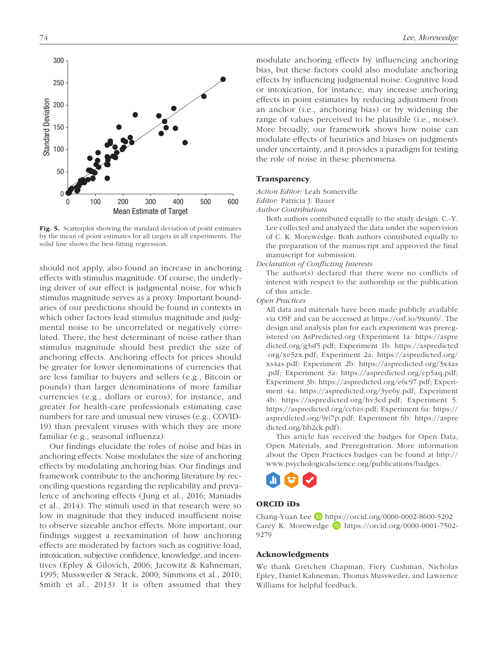

Fig. 5. Scatterplot showing the standard deviation of point estimates by the mean of point estimates for all targets in all experiments. The solid line shows the best-fitting regression.

should not apply, also found an increase in anchoring effects with stimulus magnitude. Of course, the underlying driver of our effect is judgmental noise, for which stimulus magnitude serves as a proxy. Important boundaries of our predictions should be found in contexts in which other factors lead stimulus magnitude and judgmental noise to be uncorrelated or negatively correlated. There, the best determinant of noise rather than stimulus magnitude should best predict the size of anchoring effects. Anchoring effects for prices should be greater for lower denominations of currencies that are less familiar to buyers and sellers (e.g., Bitcoin or pounds) than larger denominations of more familiar currencies (e.g., dollars or euros), for instance, and greater for health-care professionals estimating case numbers for rare and unusual new viruses (e.g., COVID-19) than prevalent viruses with which they are more familiar (e.g., seasonal influenza).

Our findings elucidate the roles of noise and bias in anchoring effects. Noise modulates the size of anchoring effects by modulating anchoring bias. Our findings and framework contribute to the anchoring literature by reconciling questions regarding the replicability and prevalence of anchoring effects (Jung et al., 2016; Maniadis et al., 2014). The stimuli used in that research were so low in magnitude that they induced insufficient noise to observe sizeable anchor effects. More important, our findings suggest a reexamination of how anchoring effects are moderated by factors such as cognitive load, intoxication, subjective confidence, knowledge, and incentives (Epley & Gilovich, 2006; Jacowitz & Kahneman, 1995; Mussweiler & Strack, 2000; Simmons et al., 2010; Smith et al., 2013). It is often assumed that they modulate anchoring effects by influencing anchoring bias, but these factors could also modulate anchoring effects by influencing judgmental noise. Cognitive load or intoxication, for instance, may increase anchoring effects in point estimates by reducing adjustment from an anchor (i.e., anchoring bias) or by widening the range of values perceived to be plausible (i.e., noise). More broadly, our framework shows how noise can modulate effects of heuristics and biases on judgments under uncertainty, and it provides a paradigm for testing the role of noise in these phenomena.

#### **Transparency**

*Action Editor:* Leah Somerville

*Editor:* Patricia J. Bauer

*Author Contributions*

Both authors contributed equally to the study design. C.-Y. Lee collected and analyzed the data under the supervision of C. K. Morewedge. Both authors contributed equally to the preparation of the manuscript and approved the final manuscript for submission.

*Declaration of Conflicting Interests*

The author(s) declared that there were no conflicts of interest with respect to the authorship or the publication of this article.

#### *Open Practices*

All data and materials have been made publicly available via OSF and can be accessed at [https://osf.io/9xun6/.](https://osf.io/9xun6/) The design and analysis plan for each experiment was preregistered on AsPredicted.org (Experiment 1a: [https://aspre](https://aspredicted.org/g3sf5.pdf) [dicted.org/g3sf5.pdf;](https://aspredicted.org/g3sf5.pdf) Experiment 1b: [https://aspredicted](https://aspredicted.org/xe5zx.pdf) [.org/xe5zx.pdf;](https://aspredicted.org/xe5zx.pdf) Experiment 2a: [https://aspredicted.org/](https://aspredicted.org/xs4as.pdf) [xs4as.pdf;](https://aspredicted.org/xs4as.pdf) Experiment 2b: [https://aspredicted.org/3x4as](https://aspredicted.org/3x4as.pdf) [.pdf;](https://aspredicted.org/3x4as.pdf) Experiment 3a: [https://aspredicted.org/cp5aq.pdf;](https://aspredicted.org/cp5aq.pdf) Experiment 3b:<https://aspredicted.org/e6c97.pdf>; Experiment 4a: [https://aspredicted.org/3ye6y.pdf;](https://aspredicted.org/3ye6y.pdf) Experiment 4b: <https://aspredicted.org/hv3cd.pdf>; Experiment 5: <https://aspredicted.org/cc6zs.pdf>; Experiment 6a: [https://](https://aspredicted.org/9ri7p.pdf) [aspredicted.org/9ri7p.pdf;](https://aspredicted.org/9ri7p.pdf) Experiment 6b: [https://aspre](https://aspredicted.org/hb2ck.pdf) [dicted.org/hb2ck.pdf\)](https://aspredicted.org/hb2ck.pdf).

This article has received the badges for Open Data, Open Materials, and Preregistration. More information about the Open Practices badges can be found at [http://](http://www.psychologicalscience.org/publications/badges) [www.psychologicalscience.org/publications/badges](http://www.psychologicalscience.org/publications/badges).



#### ORCID iDs

Chang-Yuan Lee D <https://orcid.org/0000-0002-8600-5202> Carey K. Morewedge  $\Box$  [https://orcid.org/0000-0001-7502-](https://orcid.org/0000-0001-7502-9279) [9279](https://orcid.org/0000-0001-7502-9279)

#### Acknowledgments

We thank Gretchen Chapman, Fiery Cushman, Nicholas Epley, Daniel Kahneman, Thomas Mussweiler, and Lawrence Williams for helpful feedback.